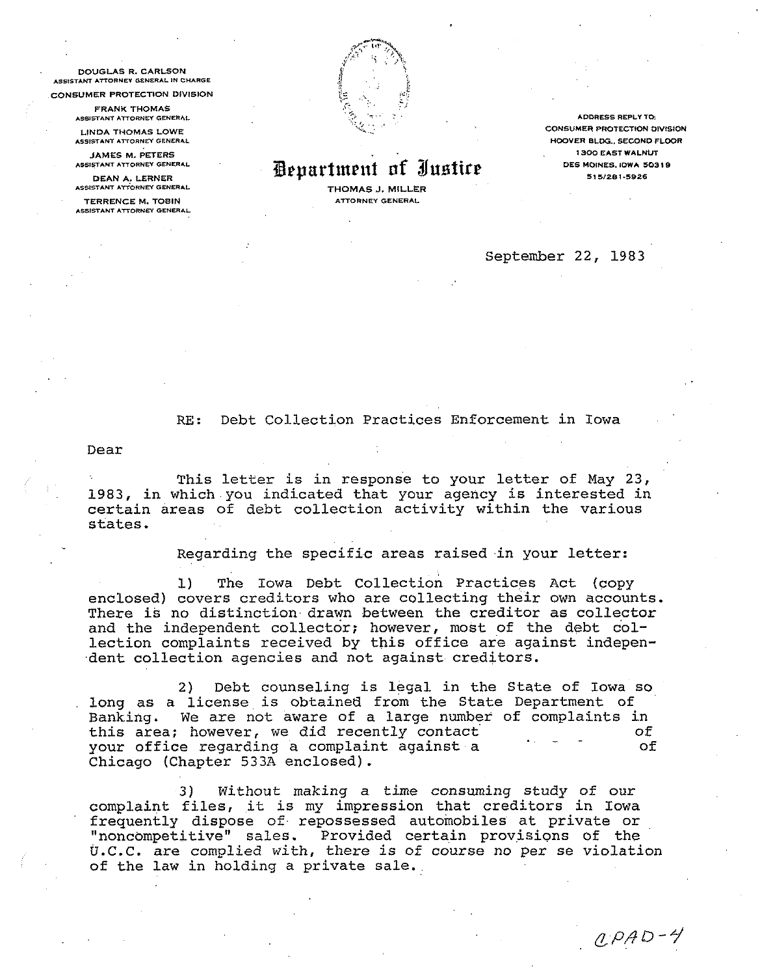**DOUGLAS R. CARLSON** ASSISTANT ATTORNEY GENERAL IN CHARGE

CONSUMER PROTECTION DIVISION

**FRANK THOMAS** ASSISTANT ATTORNEY GENERAL

**LINDA THOMAS LOWE** ASSISTANT ATTORNEY GENERAL

**JAMES M. PETERS** ASSISTANT ATTORNEY GENERAL

DEAN A. LERNER ASSISTANT ATTORNEY GENERAL

**TERRENCE M. TOBIN** ASSISTANT ATTORNEY GENERAL



## Department of Justice

THOMAS J. MILLER **ATTORNEY GENERAL** 

**ADDRESS REPLY TO: CONSUMER PROTECTION DIVISION** HOOVER BLDG., SECOND FLOOR **1300 EAST WALNUT** DES MOINES, IOWA 50319 515/281-5926

September 22, 1983

Debt Collection Practices Enforcement in Iowa  $RF:$ 

Dear

This letter is in response to your letter of May 23, 1983, in which you indicated that your agency is interested in certain areas of debt collection activity within the various states.

Regarding the specific areas raised in your letter:

 $\mathbf{1}$ The Iowa Debt Collection Practices Act (copy enclosed) covers creditors who are collecting their own accounts. There is no distinction drawn between the creditor as collector and the independent collector; however, most of the debt collection complaints received by this office are against independent collection agencies and not against creditors.

 $2)$ Debt counseling is legal in the State of Iowa so long as a license is obtained from the State Department of Banking. We are not aware of a large number of complaints in this area; however, we did recently contact оf your office regarding a complaint against a  $of$ Chicago (Chapter 533A enclosed).

Without making a time consuming study of our 3) complaint files, it is my impression that creditors in Iowa frequently dispose of repossessed automobiles at private or "noncompetitive" sales. Provided certain provisions of the U.C.C. are complied with, there is of course no per se violation of the law in holding a private sale.

 $QPAD-4$